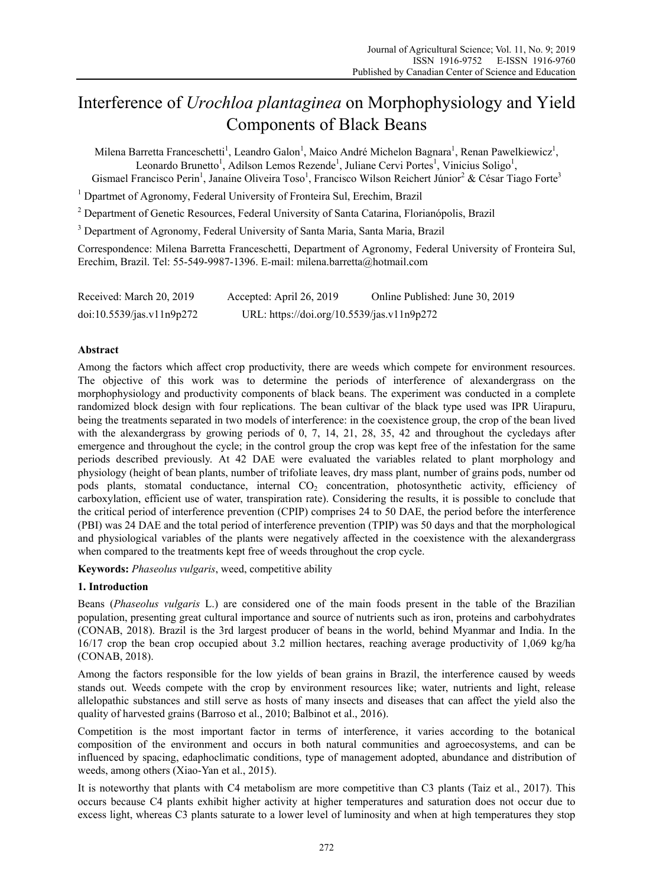# Interference of *Urochloa plantaginea* on Morphophysiology and Yield Components of Black Beans

Milena Barretta Franceschetti<sup>1</sup>, Leandro Galon<sup>1</sup>, Maico André Michelon Bagnara<sup>1</sup>, Renan Pawelkiewicz<sup>1</sup>, Leonardo Brunetto<sup>1</sup>, Adilson Lemos Rezende<sup>1</sup>, Juliane Cervi Portes<sup>1</sup>, Vinicius Soligo<sup>1</sup>, Gismael Francisco Perin<sup>1</sup>, Janaíne Oliveira Toso<sup>1</sup>, Francisco Wilson Reichert Júnior<sup>2</sup> & César Tiago Forte<sup>3</sup>

<sup>1</sup> Dpartmet of Agronomy, Federal University of Fronteira Sul, Erechim, Brazil

<sup>2</sup> Department of Genetic Resources, Federal University of Santa Catarina, Florianópolis, Brazil

<sup>3</sup> Department of Agronomy, Federal University of Santa Maria, Santa Maria, Brazil

Correspondence: Milena Barretta Franceschetti, Department of Agronomy, Federal University of Fronteira Sul, Erechim, Brazil. Tel: 55-549-9987-1396. E-mail: milena.barretta@hotmail.com

Received: March 20, 2019 Accepted: April 26, 2019 Online Published: June 30, 2019 doi:10.5539/jas.v11n9p272 URL: https://doi.org/10.5539/jas.v11n9p272

## **Abstract**

Among the factors which affect crop productivity, there are weeds which compete for environment resources. The objective of this work was to determine the periods of interference of alexandergrass on the morphophysiology and productivity components of black beans. The experiment was conducted in a complete randomized block design with four replications. The bean cultivar of the black type used was IPR Uirapuru, being the treatments separated in two models of interference: in the coexistence group, the crop of the bean lived with the alexandergrass by growing periods of 0, 7, 14, 21, 28, 35, 42 and throughout the cycledays after emergence and throughout the cycle; in the control group the crop was kept free of the infestation for the same periods described previously. At 42 DAE were evaluated the variables related to plant morphology and physiology (height of bean plants, number of trifoliate leaves, dry mass plant, number of grains pods, number od pods plants, stomatal conductance, internal CO<sub>2</sub> concentration, photosynthetic activity, efficiency of carboxylation, efficient use of water, transpiration rate). Considering the results, it is possible to conclude that the critical period of interference prevention (CPIP) comprises 24 to 50 DAE, the period before the interference (PBI) was 24 DAE and the total period of interference prevention (TPIP) was 50 days and that the morphological and physiological variables of the plants were negatively affected in the coexistence with the alexandergrass when compared to the treatments kept free of weeds throughout the crop cycle.

**Keywords:** *Phaseolus vulgaris*, weed, competitive ability

### **1. Introduction**

Beans (*Phaseolus vulgaris* L.) are considered one of the main foods present in the table of the Brazilian population, presenting great cultural importance and source of nutrients such as iron, proteins and carbohydrates (CONAB, 2018). Brazil is the 3rd largest producer of beans in the world, behind Myanmar and India. In the 16/17 crop the bean crop occupied about 3.2 million hectares, reaching average productivity of 1,069 kg/ha (CONAB, 2018).

Among the factors responsible for the low yields of bean grains in Brazil, the interference caused by weeds stands out. Weeds compete with the crop by environment resources like; water, nutrients and light, release allelopathic substances and still serve as hosts of many insects and diseases that can affect the yield also the quality of harvested grains (Barroso et al., 2010; Balbinot et al., 2016).

Competition is the most important factor in terms of interference, it varies according to the botanical composition of the environment and occurs in both natural communities and agroecosystems, and can be influenced by spacing, edaphoclimatic conditions, type of management adopted, abundance and distribution of weeds, among others (Xiao-Yan et al., 2015).

It is noteworthy that plants with C4 metabolism are more competitive than C3 plants (Taiz et al., 2017). This occurs because C4 plants exhibit higher activity at higher temperatures and saturation does not occur due to excess light, whereas C3 plants saturate to a lower level of luminosity and when at high temperatures they stop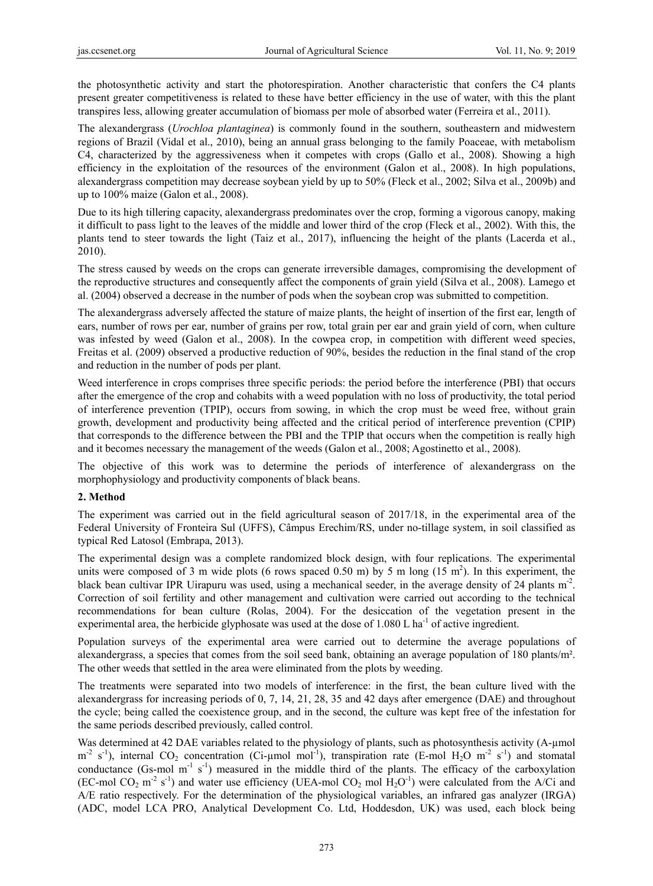the photosynthetic activity and start the photorespiration. Another characteristic that confers the C4 plants present greater competitiveness is related to these have better efficiency in the use of water, with this the plant transpires less, allowing greater accumulation of biomass per mole of absorbed water (Ferreira et al., 2011).

The alexandergrass (*Urochloa plantaginea*) is commonly found in the southern, southeastern and midwestern regions of Brazil (Vidal et al., 2010), being an annual grass belonging to the family Poaceae, with metabolism C4, characterized by the aggressiveness when it competes with crops (Gallo et al., 2008). Showing a high efficiency in the exploitation of the resources of the environment (Galon et al., 2008). In high populations, alexandergrass competition may decrease soybean yield by up to 50% (Fleck et al., 2002; Silva et al., 2009b) and up to 100% maize (Galon et al., 2008).

Due to its high tillering capacity, alexandergrass predominates over the crop, forming a vigorous canopy, making it difficult to pass light to the leaves of the middle and lower third of the crop (Fleck et al., 2002). With this, the plants tend to steer towards the light (Taiz et al., 2017), influencing the height of the plants (Lacerda et al., 2010).

The stress caused by weeds on the crops can generate irreversible damages, compromising the development of the reproductive structures and consequently affect the components of grain yield (Silva et al., 2008). Lamego et al. (2004) observed a decrease in the number of pods when the soybean crop was submitted to competition.

The alexandergrass adversely affected the stature of maize plants, the height of insertion of the first ear, length of ears, number of rows per ear, number of grains per row, total grain per ear and grain yield of corn, when culture was infested by weed (Galon et al., 2008). In the cowpea crop, in competition with different weed species, Freitas et al. (2009) observed a productive reduction of 90%, besides the reduction in the final stand of the crop and reduction in the number of pods per plant.

Weed interference in crops comprises three specific periods: the period before the interference (PBI) that occurs after the emergence of the crop and cohabits with a weed population with no loss of productivity, the total period of interference prevention (TPIP), occurs from sowing, in which the crop must be weed free, without grain growth, development and productivity being affected and the critical period of interference prevention (CPIP) that corresponds to the difference between the PBI and the TPIP that occurs when the competition is really high and it becomes necessary the management of the weeds (Galon et al., 2008; Agostinetto et al., 2008).

The objective of this work was to determine the periods of interference of alexandergrass on the morphophysiology and productivity components of black beans.

## **2. Method**

The experiment was carried out in the field agricultural season of 2017/18, in the experimental area of the Federal University of Fronteira Sul (UFFS), Câmpus Erechim/RS, under no-tillage system, in soil classified as typical Red Latosol (Embrapa, 2013).

The experimental design was a complete randomized block design, with four replications. The experimental units were composed of 3 m wide plots (6 rows spaced 0.50 m) by 5 m long  $(15 \text{ m}^2)$ . In this experiment, the black bean cultivar IPR Uirapuru was used, using a mechanical seeder, in the average density of 24 plants m-2. Correction of soil fertility and other management and cultivation were carried out according to the technical recommendations for bean culture (Rolas, 2004). For the desiccation of the vegetation present in the experimental area, the herbicide glyphosate was used at the dose of 1.080 L ha<sup>-1</sup> of active ingredient.

Population surveys of the experimental area were carried out to determine the average populations of alexandergrass, a species that comes from the soil seed bank, obtaining an average population of 180 plants/m². The other weeds that settled in the area were eliminated from the plots by weeding.

The treatments were separated into two models of interference: in the first, the bean culture lived with the alexandergrass for increasing periods of 0, 7, 14, 21, 28, 35 and 42 days after emergence (DAE) and throughout the cycle; being called the coexistence group, and in the second, the culture was kept free of the infestation for the same periods described previously, called control.

Was determined at 42 DAE variables related to the physiology of plants, such as photosynthesis activity (A-µmol  $m<sup>2</sup>$  s<sup>-1</sup>), internal CO<sub>2</sub> concentration (Ci-µmol mol<sup>-1</sup>), transpiration rate (E-mol H<sub>2</sub>O m<sup>-2</sup> s<sup>-1</sup>) and stomatal conductance (Gs-mol  $m^{-1}$  s<sup>-1</sup>) measured in the middle third of the plants. The efficacy of the carboxylation (EC-mol CO<sub>2</sub> m<sup>-2</sup> s<sup>-1</sup>) and water use efficiency (UEA-mol CO<sub>2</sub> mol H<sub>2</sub>O<sup>-1</sup>) were calculated from the A/Ci and A/E ratio respectively. For the determination of the physiological variables, an infrared gas analyzer (IRGA) (ADC, model LCA PRO, Analytical Development Co. Ltd, Hoddesdon, UK) was used, each block being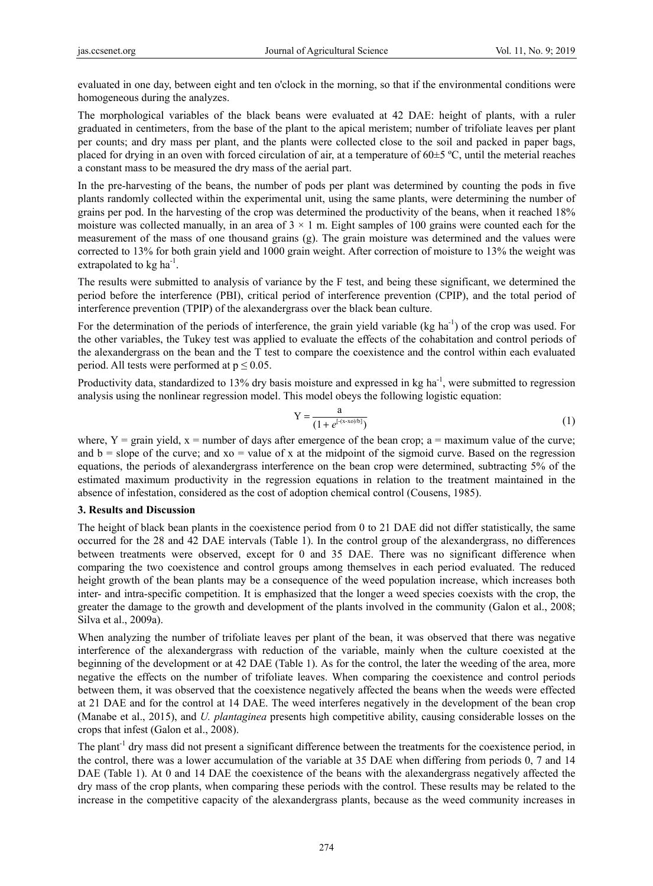evaluated in one day, between eight and ten o'clock in the morning, so that if the environmental conditions were homogeneous during the analyzes.

The morphological variables of the black beans were evaluated at 42 DAE: height of plants, with a ruler graduated in centimeters, from the base of the plant to the apical meristem; number of trifoliate leaves per plant per counts; and dry mass per plant, and the plants were collected close to the soil and packed in paper bags, placed for drying in an oven with forced circulation of air, at a temperature of  $60\pm5$  °C, until the meterial reaches a constant mass to be measured the dry mass of the aerial part.

In the pre-harvesting of the beans, the number of pods per plant was determined by counting the pods in five plants randomly collected within the experimental unit, using the same plants, were determining the number of grains per pod. In the harvesting of the crop was determined the productivity of the beans, when it reached 18% moisture was collected manually, in an area of  $3 \times 1$  m. Eight samples of 100 grains were counted each for the measurement of the mass of one thousand grains (g). The grain moisture was determined and the values were corrected to 13% for both grain yield and 1000 grain weight. After correction of moisture to 13% the weight was extrapolated to  $kg \text{ ha}^{-1}$ .

The results were submitted to analysis of variance by the F test, and being these significant, we determined the period before the interference (PBI), critical period of interference prevention (CPIP), and the total period of interference prevention (TPIP) of the alexandergrass over the black bean culture.

For the determination of the periods of interference, the grain yield variable (kg ha<sup>-1</sup>) of the crop was used. For the other variables, the Tukey test was applied to evaluate the effects of the cohabitation and control periods of the alexandergrass on the bean and the T test to compare the coexistence and the control within each evaluated period. All tests were performed at  $p \le 0.05$ .

Productivity data, standardized to 13% dry basis moisture and expressed in kg ha<sup>-1</sup>, were submitted to regression analysis using the nonlinear regression model. This model obeys the following logistic equation:

$$
Y = \frac{a}{(1 + e^{[-(x-x_0)/b]})}
$$
 (1)

where,  $Y = \text{grain yield, } x = \text{number of days after emergence of the bean crop; a = maximum value of the curve;}$ and  $b = slope$  of the curve; and  $xo = value$  of x at the midpoint of the sigmoid curve. Based on the regression equations, the periods of alexandergrass interference on the bean crop were determined, subtracting 5% of the estimated maximum productivity in the regression equations in relation to the treatment maintained in the absence of infestation, considered as the cost of adoption chemical control (Cousens, 1985).

#### **3. Results and Discussion**

The height of black bean plants in the coexistence period from 0 to 21 DAE did not differ statistically, the same occurred for the 28 and 42 DAE intervals (Table 1). In the control group of the alexandergrass, no differences between treatments were observed, except for 0 and 35 DAE. There was no significant difference when comparing the two coexistence and control groups among themselves in each period evaluated. The reduced height growth of the bean plants may be a consequence of the weed population increase, which increases both inter- and intra-specific competition. It is emphasized that the longer a weed species coexists with the crop, the greater the damage to the growth and development of the plants involved in the community (Galon et al., 2008; Silva et al., 2009a).

When analyzing the number of trifoliate leaves per plant of the bean, it was observed that there was negative interference of the alexandergrass with reduction of the variable, mainly when the culture coexisted at the beginning of the development or at 42 DAE (Table 1). As for the control, the later the weeding of the area, more negative the effects on the number of trifoliate leaves. When comparing the coexistence and control periods between them, it was observed that the coexistence negatively affected the beans when the weeds were effected at 21 DAE and for the control at 14 DAE. The weed interferes negatively in the development of the bean crop (Manabe et al., 2015), and *U. plantaginea* presents high competitive ability, causing considerable losses on the crops that infest (Galon et al., 2008).

The plant<sup>-1</sup> dry mass did not present a significant difference between the treatments for the coexistence period, in the control, there was a lower accumulation of the variable at 35 DAE when differing from periods 0, 7 and 14 DAE (Table 1). At 0 and 14 DAE the coexistence of the beans with the alexandergrass negatively affected the dry mass of the crop plants, when comparing these periods with the control. These results may be related to the increase in the competitive capacity of the alexandergrass plants, because as the weed community increases in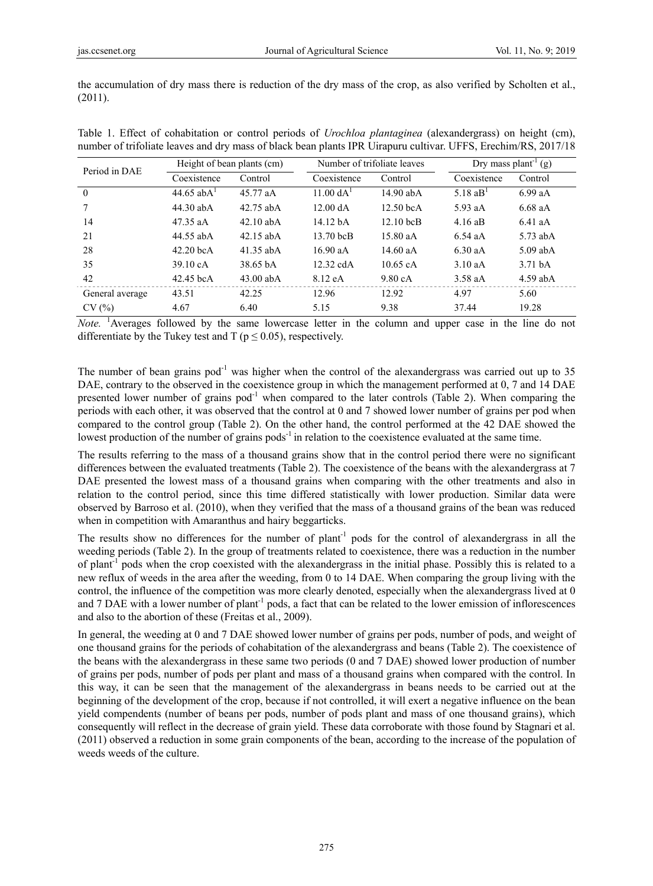the accumulation of dry mass there is reduction of the dry mass of the crop, as also verified by Scholten et al., (2011).

| Period in DAE   | Height of bean plants (cm) |             | Number of trifoliate leaves |             | Dry mass plant <sup>-1</sup> (g) |                    |
|-----------------|----------------------------|-------------|-----------------------------|-------------|----------------------------------|--------------------|
|                 | Coexistence                | Control     | Coexistence                 | Control     | Coexistence                      | Control            |
| $\Omega$        | $44.65$ ab $A1$            | 45.77 aA    | $11.00 \text{ dA}^1$        | 14.90 abA   | 5.18 $aBT$                       | 6.99aA             |
|                 | 44.30 abA                  | 42.75 abA   | 12.00 dA                    | $12.50$ bcA | 5.93 aA                          | 6.68 aA            |
| 14              | $47.35$ aA                 | $42.10$ abA | 14.12 <sub>bA</sub>         | $12.10$ bcB | 4.16 aB                          | $6.41$ aA          |
| 21              | 44.55 abA                  | 42.15 abA   | 13.70 bcB                   | 15.80 aA    | $6.54$ aA                        | $5.73$ abA         |
| 28              | $42.20$ bcA                | 41.35 abA   | 16.90 aA                    | 14.60 $aA$  | $6.30$ aA                        | $5.09$ abA         |
| 35              | 39.10 cA                   | 38.65 bA    | $12.32$ cdA                 | 10.65 cA    | $3.10$ aA                        | 3.71 <sub>bA</sub> |
| 42              | 42.45 bcA                  | $43.00$ abA | 8.12 eA                     | 9.80cA      | $3.58$ aA                        | $4.59$ abA         |
| General average | 43.51                      | 42.25       | 12.96                       | 12.92       | 4.97                             | 5.60               |
| CV(%)           | 4.67                       | 6.40        | 5.15                        | 9.38        | 37.44                            | 19.28              |

Table 1. Effect of cohabitation or control periods of *Urochloa plantaginea* (alexandergrass) on height (cm), number of trifoliate leaves and dry mass of black bean plants IPR Uirapuru cultivar. UFFS, Erechim/RS, 2017/18

*Note.* <sup>1</sup> Averages followed by the same lowercase letter in the column and upper case in the line do not differentiate by the Tukey test and T ( $p \le 0.05$ ), respectively.

The number of bean grains  $pod^{-1}$  was higher when the control of the alexandergrass was carried out up to 35 DAE, contrary to the observed in the coexistence group in which the management performed at 0, 7 and 14 DAE presented lower number of grains  $pod^{-1}$  when compared to the later controls (Table 2). When comparing the periods with each other, it was observed that the control at 0 and 7 showed lower number of grains per pod when compared to the control group (Table 2). On the other hand, the control performed at the 42 DAE showed the lowest production of the number of grains pods<sup>-1</sup> in relation to the coexistence evaluated at the same time.

The results referring to the mass of a thousand grains show that in the control period there were no significant differences between the evaluated treatments (Table 2). The coexistence of the beans with the alexandergrass at 7 DAE presented the lowest mass of a thousand grains when comparing with the other treatments and also in relation to the control period, since this time differed statistically with lower production. Similar data were observed by Barroso et al. (2010), when they verified that the mass of a thousand grains of the bean was reduced when in competition with Amaranthus and hairy beggarticks.

The results show no differences for the number of plant<sup>-1</sup> pods for the control of alexandergrass in all the weeding periods (Table 2). In the group of treatments related to coexistence, there was a reduction in the number of plant<sup>-1</sup> pods when the crop coexisted with the alexandergrass in the initial phase. Possibly this is related to a new reflux of weeds in the area after the weeding, from 0 to 14 DAE. When comparing the group living with the control, the influence of the competition was more clearly denoted, especially when the alexandergrass lived at 0 and 7 DAE with a lower number of plant<sup>-1</sup> pods, a fact that can be related to the lower emission of inflorescences and also to the abortion of these (Freitas et al., 2009).

In general, the weeding at 0 and 7 DAE showed lower number of grains per pods, number of pods, and weight of one thousand grains for the periods of cohabitation of the alexandergrass and beans (Table 2). The coexistence of the beans with the alexandergrass in these same two periods (0 and 7 DAE) showed lower production of number of grains per pods, number of pods per plant and mass of a thousand grains when compared with the control. In this way, it can be seen that the management of the alexandergrass in beans needs to be carried out at the beginning of the development of the crop, because if not controlled, it will exert a negative influence on the bean yield compendents (number of beans per pods, number of pods plant and mass of one thousand grains), which consequently will reflect in the decrease of grain yield. These data corroborate with those found by Stagnari et al. (2011) observed a reduction in some grain components of the bean, according to the increase of the population of weeds weeds of the culture.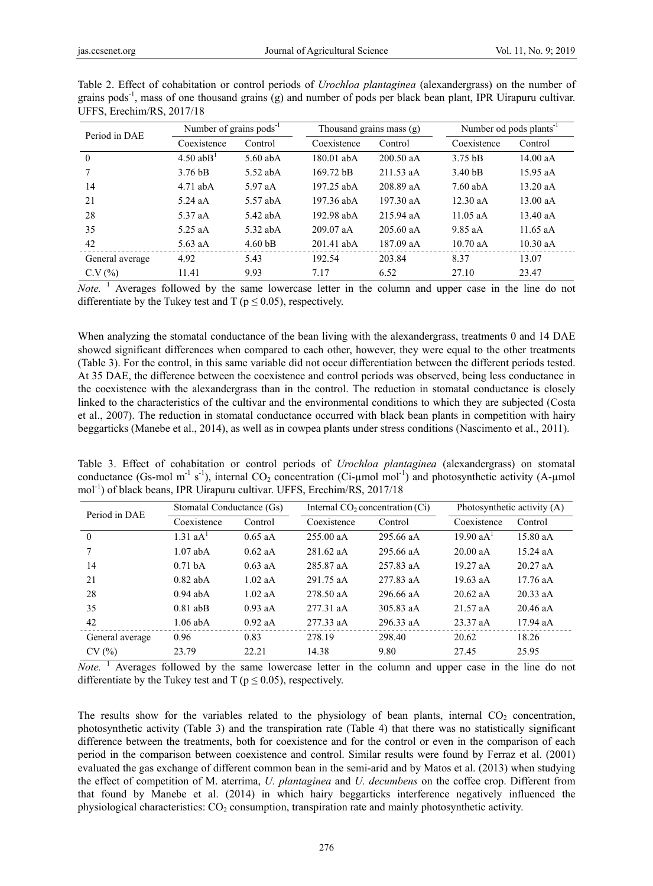| Period in DAE   | Number of grains $pods^{-1}$ |                       | Thousand grains mass (g) |             | Number od pods plants <sup>-1</sup> |            |
|-----------------|------------------------------|-----------------------|--------------------------|-------------|-------------------------------------|------------|
|                 | Coexistence                  | Control               | Coexistence              | Control     | Coexistence                         | Control    |
| $\theta$        | $4.50$ abB <sup>1</sup>      | $5.60$ ab $\triangle$ | 180.01 abA               | 200.50 aA   | $3.75$ bB                           | 14.00 aA   |
|                 | 3.76 <sub>bB</sub>           | $5.52$ abA            | $169.72 \text{ bB}$      | 211.53 aA   | 3.40 <sub>bB</sub>                  | $15.95$ aA |
| 14              | $4.71$ ab $\triangle$        | 5.97 aA               | 197.25 abA               | 208.89 aA   | $7.60$ ab $\overline{A}$            | $13.20$ aA |
| 21              | $5.24$ aA                    | 5.57 abA              | 197.36 abA               | 197.30 aA   | $12.30$ aA                          | $13.00$ aA |
| 28              | 5.37 aA                      | $5.42$ abA            | 192.98 abA               | 215.94 aA   | 11.05 $aA$                          | 13.40 aA   |
| 35              | $5.25$ aA                    | $5.32$ abA            | $209.07$ aA              | $205.60$ aA | 9.85 aA                             | $11.65$ aA |
| 42              | $5.63$ aA                    | 4.60 <sub>bB</sub>    | $201.41$ abA             | 187.09 aA   | $10.70$ aA                          | $10.30$ aA |
| General average | 4.92                         | 5.43                  | 192.54                   | 203.84      | 8.37                                | 13.07      |
| C.V(%)          | 11.41                        | 9.93                  | 7.17                     | 6.52        | 27.10                               | 23.47      |

Table 2. Effect of cohabitation or control periods of *Urochloa plantaginea* (alexandergrass) on the number of grains pods-1, mass of one thousand grains (g) and number of pods per black bean plant, IPR Uirapuru cultivar. UFFS, Erechim/RS, 2017/18

Note.<sup>1</sup> Averages followed by the same lowercase letter in the column and upper case in the line do not differentiate by the Tukey test and T ( $p \le 0.05$ ), respectively.

When analyzing the stomatal conductance of the bean living with the alexandergrass, treatments 0 and 14 DAE showed significant differences when compared to each other, however, they were equal to the other treatments (Table 3). For the control, in this same variable did not occur differentiation between the different periods tested. At 35 DAE, the difference between the coexistence and control periods was observed, being less conductance in the coexistence with the alexandergrass than in the control. The reduction in stomatal conductance is closely linked to the characteristics of the cultivar and the environmental conditions to which they are subjected (Costa et al., 2007). The reduction in stomatal conductance occurred with black bean plants in competition with hairy beggarticks (Manebe et al., 2014), as well as in cowpea plants under stress conditions (Nascimento et al., 2011).

Table 3. Effect of cohabitation or control periods of *Urochloa plantaginea* (alexandergrass) on stomatal conductance (Gs-mol m<sup>-1</sup> s<sup>-1</sup>), internal  $CO_2$  concentration (Ci-µmol mol<sup>-1</sup>) and photosynthetic activity (A-µmol mol<sup>-1</sup>) of black beans, IPR Uirapuru cultivar. UFFS, Erechim/RS, 2017/18

| Period in DAE   | Stomatal Conductance (Gs) |           | Internal $CO2 concentration (Ci)$ |           | Photosynthetic activity (A) |            |
|-----------------|---------------------------|-----------|-----------------------------------|-----------|-----------------------------|------------|
|                 | Coexistence               | Control   | Coexistence                       | Control   | Coexistence                 | Control    |
| $\theta$        | $1.31 \text{ aA}^{1}$     | $0.65$ aA | 255.00 aA                         | 295.66 aA | 19.90 aA <sup>1</sup>       | 15.80 aA   |
|                 | $1.07$ abA                | $0.62$ aA | $281.62$ aA                       | 295.66 aA | 20.00 aA                    | $15.24$ aA |
| 14              | $0.71h$ A                 | $0.63$ aA | 285.87 aA                         | 257.83 aA | 19.27 aA                    | $20.27$ aA |
| 21              | $0.82$ abA                | $1.02$ aA | 291.75 aA                         | 277.83 aA | $19.63$ aA                  | $17.76$ aA |
| 28              | $0.94$ abA                | $1.02$ aA | 278.50 aA                         | 296.66 aA | $20.62$ aA                  | $20.33$ aA |
| 35              | $0.81$ abB                | $0.93$ aA | 277.31 aA                         | 305.83 aA | $21.57$ aA                  | $20.46$ aA |
| 42              | $1.06$ abA                | $0.92$ aA | $277.33$ aA                       | 296.33 aA | $23.37$ aA                  | $17.94$ aA |
| General average | 0.96                      | 0.83      | 278.19                            | 298.40    | 20.62                       | 18.26      |
| CV(%)           | 23.79                     | 22.21     | 14.38                             | 9.80      | 27.45                       | 25.95      |

*Note.* <sup>1</sup> Averages followed by the same lowercase letter in the column and upper case in the line do not differentiate by the Tukey test and T ( $p \le 0.05$ ), respectively.

The results show for the variables related to the physiology of bean plants, internal  $CO<sub>2</sub>$  concentration, photosynthetic activity (Table 3) and the transpiration rate (Table 4) that there was no statistically significant difference between the treatments, both for coexistence and for the control or even in the comparison of each period in the comparison between coexistence and control. Similar results were found by Ferraz et al. (2001) evaluated the gas exchange of different common bean in the semi-arid and by Matos et al. (2013) when studying the effect of competition of M. aterrima, *U. plantaginea* and *U. decumbens* on the coffee crop. Different from that found by Manebe et al. (2014) in which hairy beggarticks interference negatively influenced the physiological characteristics: CO2 consumption, transpiration rate and mainly photosynthetic activity.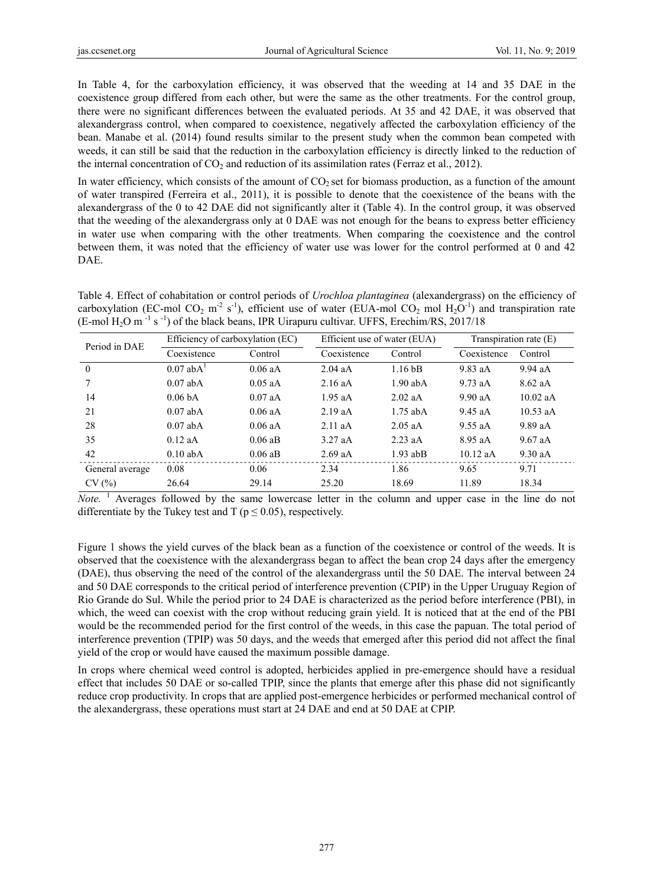In Table 4, for the carboxylation efficiency, it was observed that the weeding at 14 and 35 DAE in the coexistence group differed from each other, but were the same as the other treatments. For the control group, there were no significant differences between the evaluated periods. At 35 and 42 DAE, it was observed that alexandergrass control, when compared to coexistence, negatively affected the carboxylation efficiency of the bean. Manabe et al. (2014) found results similar to the present study when the common bean competed with weeds, it can still be said that the reduction in the carboxylation efficiency is directly linked to the reduction of the internal concentration of  $CO<sub>2</sub>$  and reduction of its assimilation rates (Ferraz et al., 2012).

In water efficiency, which consists of the amount of  $CO<sub>2</sub>$  set for biomass production, as a function of the amount of water transpired (Ferreira et al., 2011), it is possible to denote that the coexistence of the beans with the alexandergrass of the 0 to 42 DAE did not significantly alter it (Table 4). In the control group, it was observed that the weeding of the alexandergrass only at 0 DAE was not enough for the beans to express better efficiency in water use when comparing with the other treatments. When comparing the coexistence and the control between them, it was noted that the efficiency of water use was lower for the control performed at 0 and 42 DAE.

Table 4. Effect of cohabitation or control periods of *Urochloa plantaginea* (alexandergrass) on the efficiency of carboxylation (EC-mol CO<sub>2</sub> m<sup>-2</sup> s<sup>-1</sup>), efficient use of water (EUA-mol CO<sub>2</sub> mol H<sub>2</sub>O<sup>-1</sup>) and transpiration rate (E-mol H<sub>2</sub>O m<sup>-1</sup> s<sup>-1</sup>) of the black beans, IPR Uirapuru cultivar. UFFS, Erechim/RS, 2017/18

| Period in DAE   | Efficiency of carboxylation (EC) |           | Efficient use of water (EUA) |                                                                                               | Transpiration rate $(E)$ |            |
|-----------------|----------------------------------|-----------|------------------------------|-----------------------------------------------------------------------------------------------|--------------------------|------------|
|                 | Coexistence                      | Control   | Coexistence                  | Control<br>1.16 <sub>bB</sub><br>$1.90$ abA<br>2.02aA<br>$1.75$ abA<br>$2.05$ aA<br>$2.23$ aA | Coexistence              | Control    |
| $\theta$        | $0.07$ ab $\mathrm{A}^{1}$       | $0.06$ aA | $2.04$ aA                    |                                                                                               | $9.83$ aA                | 9.94 aA    |
|                 | $0.07$ abA                       | $0.05$ aA | $2.16$ aA                    |                                                                                               | $9.73$ aA                | $8.62$ aA  |
| 14              | 0.06 <sub>bA</sub>               | $0.07$ aA | $1.95$ aA                    |                                                                                               | 9.90 aA                  | 10.02 aA   |
| 21              | $0.07$ abA                       | $0.06$ aA | 2.19aA                       |                                                                                               | 9.45 aA                  | $10.53$ aA |
| 28              | $0.07$ abA                       | $0.06$ aA | 2.11aA                       |                                                                                               | $9.55$ aA                | 9.89aA     |
| 35              | $0.12$ aA                        | $0.06$ aB | $3.27$ aA                    |                                                                                               | $8.95$ aA                | $9.67$ aA  |
| 42              | $0.10$ abA                       | $0.06$ aB | $2.69$ aA                    | $1.93$ ab <sub>B</sub>                                                                        | $10.12$ aA               | $9.30$ aA  |
| General average | 0.08                             | 0.06      | 2.34                         | 1.86                                                                                          | 9.65                     | 9.71       |
| CV(%)           | 26.64                            | 29.14     | 25.20                        | 18.69                                                                                         | 11.89                    | 18.34      |

Note.<sup>1</sup> Averages followed by the same lowercase letter in the column and upper case in the line do not differentiate by the Tukey test and T ( $p \le 0.05$ ), respectively.

Figure 1 shows the yield curves of the black bean as a function of the coexistence or control of the weeds. It is observed that the coexistence with the alexandergrass began to affect the bean crop 24 days after the emergency (DAE), thus observing the need of the control of the alexandergrass until the 50 DAE. The interval between 24 and 50 DAE corresponds to the critical period of interference prevention (CPIP) in the Upper Uruguay Region of Rio Grande do Sul. While the period prior to 24 DAE is characterized as the period before interference (PBI), in which, the weed can coexist with the crop without reducing grain yield. It is noticed that at the end of the PBI would be the recommended period for the first control of the weeds, in this case the papuan. The total period of interference prevention (TPIP) was 50 days, and the weeds that emerged after this period did not affect the final yield of the crop or would have caused the maximum possible damage.

In crops where chemical weed control is adopted, herbicides applied in pre-emergence should have a residual effect that includes 50 DAE or so-called TPIP, since the plants that emerge after this phase did not significantly reduce crop productivity. In crops that are applied post-emergence herbicides or performed mechanical control of the alexandergrass, these operations must start at 24 DAE and end at 50 DAE at CPIP.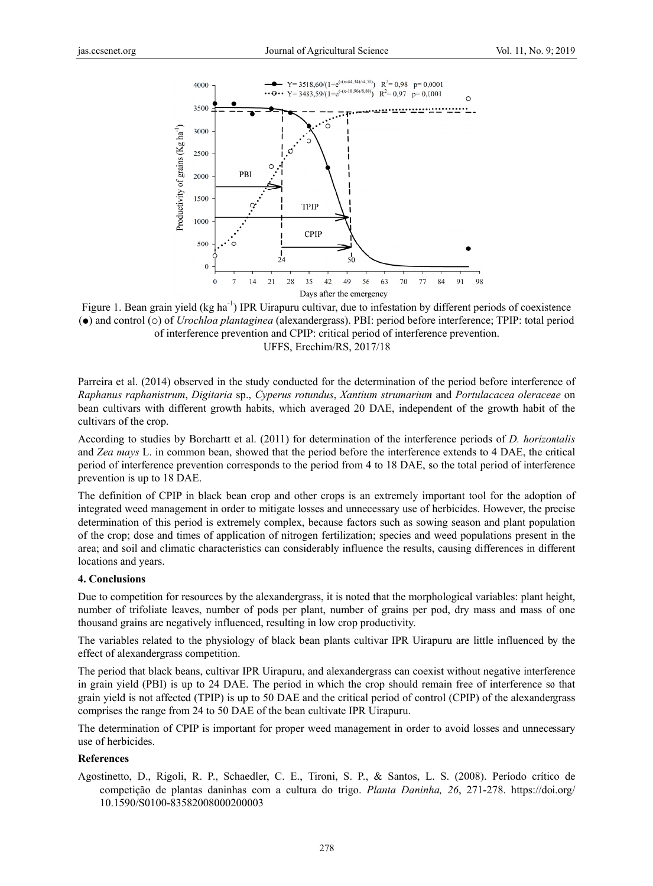

Figure 1. Bean grain yield (kg ha<sup>-1</sup>) IPR Uirapuru cultivar, due to infestation by different periods of coexistence (•) and control ( $\circ$ ) of *Urochloa plantaginea* (alexandergrass). PBI: period before interference; TPIP: total period of interference prevention and CPIP: critical period of interference prevention. UFFS, Erechim/RS, 2017/18

Parreira et al. (2014) observed in the study conducted for the determination of the period before interference of *Raphanus raphanistrum m*, *Digitaria* sp ., *Cyperus rot tundus*, *Xantiu um strumarium m* and *Portulac cacea oleracea ae* on bean cultivars with different growth habits, which averaged 20 DAE, independent of the growth habit of the cultivars of the crop.

According to studies by Borchartt et al. (2011) for determination of the interference periods of *D. horizontalis* and *Zea mays* L. in common bean, showed that the period before the interference extends to 4 DAE, the critical period of interference prevention corresponds to the period from 4 to 18 DAE, so the total period of interference prevention is up to 18 DAE.

The definition of CPIP in black bean crop and other crops is an extremely important tool for the adoption of integrated weed management in order to mitigate losses and unnecessary use of herbicides. However, the precise determination of this period is extremely complex, because factors such as sowing season and plant population of the crop; dose and times of application of nitrogen fertilization; species and weed populations present in the area; and soil and climatic characteristics can considerably influence the results, causing differences in different locations and years.

#### **4. Conclus sions**

Due to competition for resources by the alexandergrass, it is noted that the morphological variables: plant height, number of trifoliate leaves, number of pods per plant, number of grains per pod, dry mass and mass of one thousand grains are negatively influenced, resulting in low crop productivity.

The variables related to the physiology of black bean plants cultivar IPR Uirapuru are little influenced by the effect of al lexandergrass competition.

The period that black beans, cultivar IPR Uirapuru, and alexandergrass can coexist without negative interference in grain yield (PBI) is up to 24 DAE. The period in which the crop should remain free of interference so that grain yield is not affected (TPIP) is up to 50 DAE and the critical period of control (CPIP) of the alexandergrass comprises the range from 24 to 50 DAE of the bean cultivate IPR Uirapuru.

The determination of CPIP is important for proper weed management in order to avoid losses and unnecessary use of herb bicides.

#### **Reference es**

Agostinetto, D., Rigoli, R. P., Schaedler, C. E., Tironi, S. P., & Santos, L. S. (2008). Período crítico de competição de plantas daninhas com a cultura do trigo. Planta Daninha, 26, 271-278. https://doi.org/ 10.1590/S0100-83582008000200003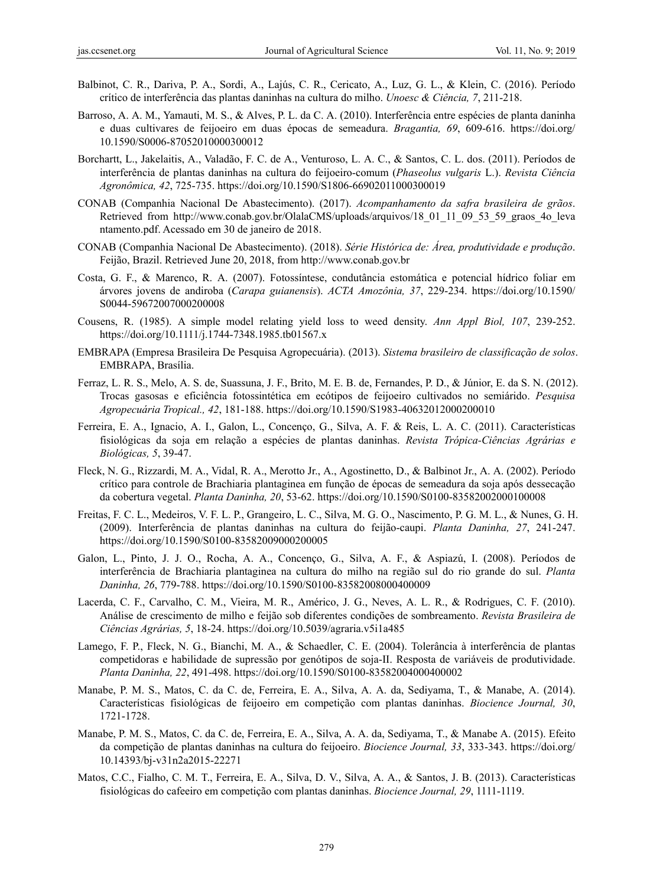- Balbinot, C. R., Dariva, P. A., Sordi, A., Lajús, C. R., Cericato, A., Luz, G. L., & Klein, C. (2016). Período crítico de interferência das plantas daninhas na cultura do milho. *Unoesc & Ciência, 7*, 211-218.
- Barroso, A. A. M., Yamauti, M. S., & Alves, P. L. da C. A. (2010). Interferência entre espécies de planta daninha e duas cultivares de feijoeiro em duas épocas de semeadura. *Bragantia, 69*, 609-616. https://doi.org/ 10.1590/S0006-87052010000300012
- Borchartt, L., Jakelaitis, A., Valadão, F. C. de A., Venturoso, L. A. C., & Santos, C. L. dos. (2011). Períodos de interferência de plantas daninhas na cultura do feijoeiro-comum (*Phaseolus vulgaris* L.). *Revista Ciência Agronômica, 42*, 725-735. https://doi.org/10.1590/S1806-66902011000300019
- CONAB (Companhia Nacional De Abastecimento). (2017). *Acompanhamento da safra brasileira de grãos*. Retrieved from http://www.conab.gov.br/OlalaCMS/uploads/arquivos/18\_01\_11\_09\_53\_59\_graos\_4o\_leva ntamento.pdf. Acessado em 30 de janeiro de 2018.
- CONAB (Companhia Nacional De Abastecimento). (2018). *Série Histórica de: Área, produtividade e produção*. Feijão, Brazil. Retrieved June 20, 2018, from http://www.conab.gov.br
- Costa, G. F., & Marenco, R. A. (2007). Fotossíntese, condutância estomática e potencial hídrico foliar em árvores jovens de andiroba (*Carapa guianensis*). *ACTA Amozônia, 37*, 229-234. https://doi.org/10.1590/ S0044-59672007000200008
- Cousens, R. (1985). A simple model relating yield loss to weed density. *Ann Appl Biol, 107*, 239-252. https://doi.org/10.1111/j.1744-7348.1985.tb01567.x
- EMBRAPA (Empresa Brasileira De Pesquisa Agropecuária). (2013). *Sistema brasileiro de classificação de solos*. EMBRAPA, Brasília.
- Ferraz, L. R. S., Melo, A. S. de, Suassuna, J. F., Brito, M. E. B. de, Fernandes, P. D., & Júnior, E. da S. N. (2012). Trocas gasosas e eficiência fotossintética em ecótipos de feijoeiro cultivados no semiárido. *Pesquisa Agropecuária Tropical., 42*, 181-188. https://doi.org/10.1590/S1983-40632012000200010
- Ferreira, E. A., Ignacio, A. I., Galon, L., Concenço, G., Silva, A. F. & Reis, L. A. C. (2011). Características fisiológicas da soja em relação a espécies de plantas daninhas. *Revista Trópica-Ciências Agrárias e Biológicas, 5*, 39-47.
- Fleck, N. G., Rizzardi, M. A., Vidal, R. A., Merotto Jr., A., Agostinetto, D., & Balbinot Jr., A. A. (2002). Período crítico para controle de Brachiaria plantaginea em função de épocas de semeadura da soja após dessecação da cobertura vegetal. *Planta Daninha, 20*, 53-62. https://doi.org/10.1590/S0100-83582002000100008
- Freitas, F. C. L., Medeiros, V. F. L. P., Grangeiro, L. C., Silva, M. G. O., Nascimento, P. G. M. L., & Nunes, G. H. (2009). Interferência de plantas daninhas na cultura do feijão-caupi. *Planta Daninha, 27*, 241-247. https://doi.org/10.1590/S0100-83582009000200005
- Galon, L., Pinto, J. J. O., Rocha, A. A., Concenço, G., Silva, A. F., & Aspiazú, I. (2008). Períodos de interferência de Brachiaria plantaginea na cultura do milho na região sul do rio grande do sul. *Planta Daninha, 26*, 779-788. https://doi.org/10.1590/S0100-83582008000400009
- Lacerda, C. F., Carvalho, C. M., Vieira, M. R., Américo, J. G., Neves, A. L. R., & Rodrigues, C. F. (2010). Análise de crescimento de milho e feijão sob diferentes condições de sombreamento. *Revista Brasileira de Ciências Agrárias, 5*, 18-24. https://doi.org/10.5039/agraria.v5i1a485
- Lamego, F. P., Fleck, N. G., Bianchi, M. A., & Schaedler, C. E. (2004). Tolerância à interferência de plantas competidoras e habilidade de supressão por genótipos de soja-II. Resposta de variáveis de produtividade. *Planta Daninha, 22*, 491-498. https://doi.org/10.1590/S0100-83582004000400002
- Manabe, P. M. S., Matos, C. da C. de, Ferreira, E. A., Silva, A. A. da, Sediyama, T., & Manabe, A. (2014). Características fisiológicas de feijoeiro em competição com plantas daninhas. *Biocience Journal, 30*, 1721-1728.
- Manabe, P. M. S., Matos, C. da C. de, Ferreira, E. A., Silva, A. A. da, Sediyama, T., & Manabe A. (2015). Efeito da competição de plantas daninhas na cultura do feijoeiro. *Biocience Journal, 33*, 333-343. https://doi.org/ 10.14393/bj-v31n2a2015-22271
- Matos, C.C., Fialho, C. M. T., Ferreira, E. A., Silva, D. V., Silva, A. A., & Santos, J. B. (2013). Características fisiológicas do cafeeiro em competição com plantas daninhas. *Biocience Journal, 29*, 1111-1119.